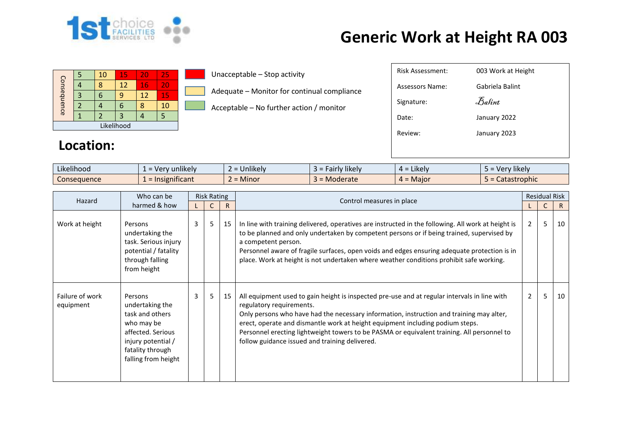

## **Generic Work at Height RA 003**

| Consequence |  | 10 | 15 | 20 | 25 |  |  |  |
|-------------|--|----|----|----|----|--|--|--|
|             |  |    | 12 | 16 | 20 |  |  |  |
|             |  |    |    | 12 | 15 |  |  |  |
|             |  |    | T  |    | 10 |  |  |  |
|             |  |    | 3  |    |    |  |  |  |
| Likelihood  |  |    |    |    |    |  |  |  |

**Location:**

Unacceptable – Stop activity

Adequate – Monitor for continual compliance

Acceptable – No further action / monitor

| <b>Risk Assessment:</b> | 003 Work at Height              |
|-------------------------|---------------------------------|
| Assessors Name:         | Gabriela Balint                 |
| Signature:              | $\mathcal{F}_{\mathit{a}}$ fint |
| Date:                   | January 2022                    |
| Review:                 | January 2023                    |
|                         |                                 |

| $\cdot$ $\cdot$ $\cdot$<br>$\mathbf{P}$<br>Likelihood | unlikely<br>$\sqrt{2}$<br>$\sim$ $\sim$ | <b>unlikely</b><br>- | <b>likely</b><br>$.$ diriv $\degree$ | $\cdot$ .<br><b>Likely</b><br>$\overline{\phantom{a}}$ | $\cdots$<br>likel'<br>$\sqrt{2}$<br>$\mathbf{r}$<br>c |
|-------------------------------------------------------|-----------------------------------------|----------------------|--------------------------------------|--------------------------------------------------------|-------------------------------------------------------|
| Consequence                                           | <b>Ificant</b><br>. ISIP                | Minor<br>-           | loderate                             | · Maior<br>$\sim$                                      | Catastrophic                                          |

| Hazard                       | Who can be                                                                                                                                        | <b>Risk Rating</b> |   |    |                                                                                                                                                                                                                                                                                                                                                                                                                                                       | <b>Residual Risk</b> |   |    |
|------------------------------|---------------------------------------------------------------------------------------------------------------------------------------------------|--------------------|---|----|-------------------------------------------------------------------------------------------------------------------------------------------------------------------------------------------------------------------------------------------------------------------------------------------------------------------------------------------------------------------------------------------------------------------------------------------------------|----------------------|---|----|
|                              | harmed & how                                                                                                                                      |                    |   | R. | Control measures in place                                                                                                                                                                                                                                                                                                                                                                                                                             |                      |   | R  |
| Work at height               | Persons<br>undertaking the<br>task. Serious injury<br>potential / fatality<br>through falling<br>from height                                      | 3                  | 5 | 15 | In line with training delivered, operatives are instructed in the following. All work at height is<br>to be planned and only undertaken by competent persons or if being trained, supervised by<br>a competent person.<br>Personnel aware of fragile surfaces, open voids and edges ensuring adequate protection is in<br>place. Work at height is not undertaken where weather conditions prohibit safe working.                                     | $\overline{2}$       | 5 | 10 |
| Failure of work<br>equipment | Persons<br>undertaking the<br>task and others<br>who may be<br>affected. Serious<br>injury potential /<br>fatality through<br>falling from height | 3                  | 5 | 15 | All equipment used to gain height is inspected pre-use and at regular intervals in line with<br>regulatory requirements.<br>Only persons who have had the necessary information, instruction and training may alter,<br>erect, operate and dismantle work at height equipment including podium steps.<br>Personnel erecting lightweight towers to be PASMA or equivalent training. All personnel to<br>follow guidance issued and training delivered. | $\overline{2}$       | 5 | 10 |